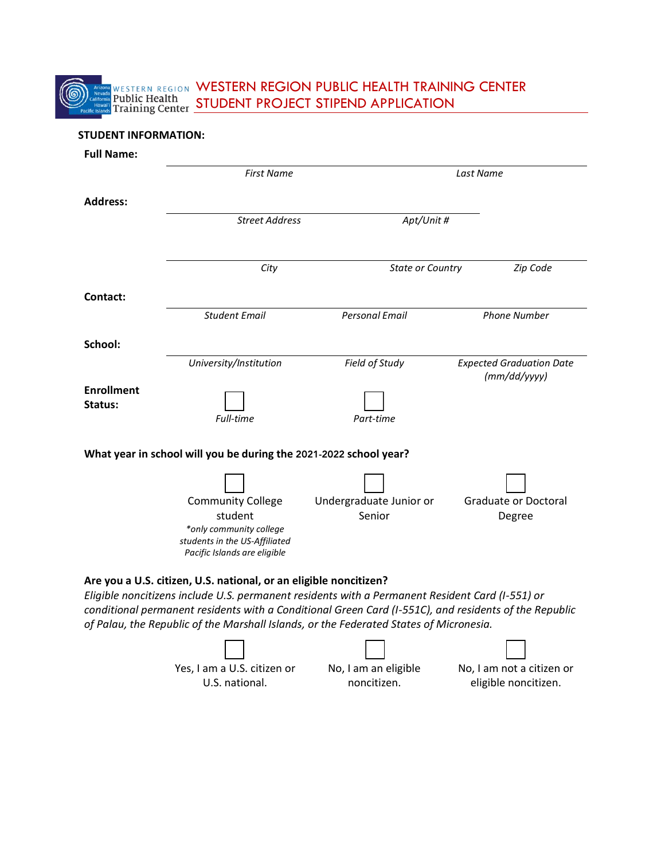# WESTERN REGION PUBLIC HEALTH TRAINING CENTER STUDENT PROJECT STIPEND APPLICATION

#### **STUDENT INFORMATION:**

| <b>Full Name:</b>            |                                                                                                   |                                                                                                 |                                                 |
|------------------------------|---------------------------------------------------------------------------------------------------|-------------------------------------------------------------------------------------------------|-------------------------------------------------|
|                              | <b>First Name</b>                                                                                 |                                                                                                 | Last Name                                       |
| <b>Address:</b>              |                                                                                                   |                                                                                                 |                                                 |
|                              | <b>Street Address</b>                                                                             | Apt/Unit #                                                                                      |                                                 |
|                              | City                                                                                              | <b>State or Country</b>                                                                         | Zip Code                                        |
| <b>Contact:</b>              |                                                                                                   |                                                                                                 |                                                 |
|                              | <b>Student Email</b>                                                                              | <b>Personal Email</b>                                                                           | <b>Phone Number</b>                             |
| School:                      |                                                                                                   |                                                                                                 |                                                 |
|                              | University/Institution                                                                            | Field of Study                                                                                  | <b>Expected Graduation Date</b><br>(mm/dd/yyyy) |
| <b>Enrollment</b><br>Status: | Full-time                                                                                         | Part-time                                                                                       |                                                 |
|                              | What year in school will you be during the 2021-2022 school year?                                 |                                                                                                 |                                                 |
|                              | <b>Community College</b><br>student<br>*only community college<br>students in the US-Affiliated   | Undergraduate Junior or<br>Senior                                                               | <b>Graduate or Doctoral</b><br>Degree           |
|                              | Pacific Islands are eligible<br>Are you a U.S. citizen, U.S. national, or an eligible noncitizen? | Fligible noncitizens include LLS, nermanent residents with a Permanent Resident Card (L-551) or |                                                 |

*Eligible noncitizens include U.S. permanent residents with a Permanent Resident Card (I-551) or conditional permanent residents with a Conditional Green Card (I-551C), and residents of the Republic of Palau, the Republic of the Marshall Islands, or the Federated States of Micronesia.*

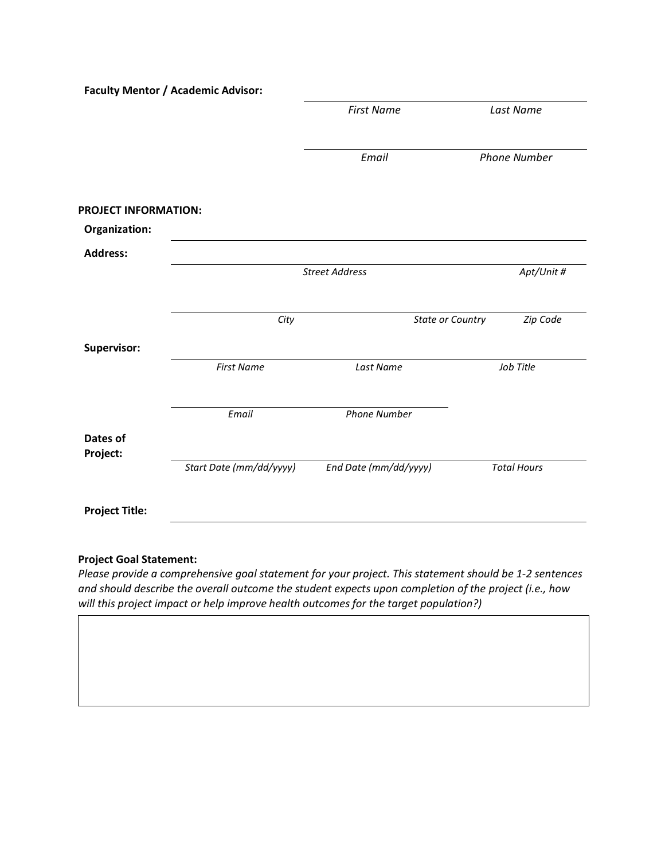| <b>Faculty Mentor / Academic Advisor:</b> |                         |                                              |
|-------------------------------------------|-------------------------|----------------------------------------------|
|                                           | <b>First Name</b>       | Last Name                                    |
|                                           | Email                   | <b>Phone Number</b>                          |
| <b>PROJECT INFORMATION:</b>               |                         |                                              |
|                                           |                         |                                              |
|                                           |                         |                                              |
|                                           |                         | Apt/Unit #                                   |
|                                           |                         |                                              |
| City                                      | <b>State or Country</b> | Zip Code                                     |
|                                           |                         |                                              |
| <b>First Name</b>                         | Last Name               | Job Title                                    |
|                                           |                         |                                              |
|                                           |                         |                                              |
| Start Date (mm/dd/yyyy)                   | End Date (mm/dd/yyyy)   | <b>Total Hours</b>                           |
|                                           |                         |                                              |
|                                           | Email                   | <b>Street Address</b><br><b>Phone Number</b> |

# **Project Goal Statement:**

*Please provide a comprehensive goal statement for your project. This statement should be 1-2 sentences and should describe the overall outcome the student expects upon completion of the project (i.e., how will this project impact or help improve health outcomes for the target population?)*